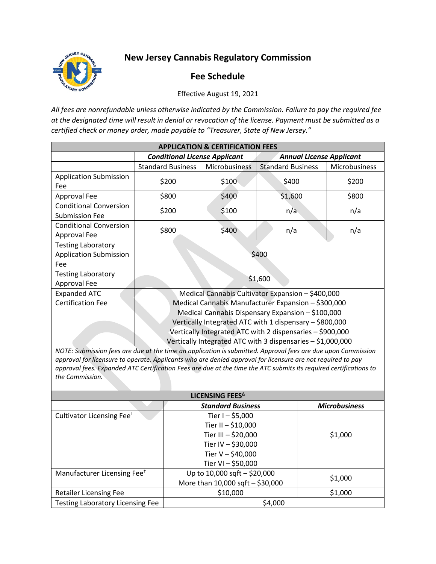## **New Jersey Cannabis Regulatory Commission**



## **Fee Schedule**

Effective August 19, 2021

*All fees are nonrefundable unless otherwise indicated by the Commission. Failure to pay the required fee at the designated time will result in denial or revocation of the license. Payment must be submitted as a certified check or money order, made payable to "Treasurer, State of New Jersey."*

| <b>APPLICATION &amp; CERTIFICATION FEES</b>                       |                                                                                                                                                                                                                                                                                                                                                      |               |                                 |               |  |  |
|-------------------------------------------------------------------|------------------------------------------------------------------------------------------------------------------------------------------------------------------------------------------------------------------------------------------------------------------------------------------------------------------------------------------------------|---------------|---------------------------------|---------------|--|--|
|                                                                   | <b>Conditional License Applicant</b>                                                                                                                                                                                                                                                                                                                 |               | <b>Annual License Applicant</b> |               |  |  |
|                                                                   | <b>Standard Business</b>                                                                                                                                                                                                                                                                                                                             | Microbusiness | <b>Standard Business</b>        | Microbusiness |  |  |
| <b>Application Submission</b><br>Fee                              | \$200                                                                                                                                                                                                                                                                                                                                                | \$100         | \$400                           | \$200         |  |  |
| Approval Fee                                                      | \$800                                                                                                                                                                                                                                                                                                                                                | \$400         | \$1,600                         | \$800         |  |  |
| <b>Conditional Conversion</b><br><b>Submission Fee</b>            | \$200                                                                                                                                                                                                                                                                                                                                                | \$100         | n/a                             | n/a           |  |  |
| <b>Conditional Conversion</b><br>Approval Fee                     | \$800                                                                                                                                                                                                                                                                                                                                                | \$400         | n/a                             | n/a           |  |  |
| <b>Testing Laboratory</b><br><b>Application Submission</b><br>Fee | \$400                                                                                                                                                                                                                                                                                                                                                |               |                                 |               |  |  |
| <b>Testing Laboratory</b><br>Approval Fee                         | \$1,600                                                                                                                                                                                                                                                                                                                                              |               |                                 |               |  |  |
| <b>Expanded ATC</b><br><b>Certification Fee</b>                   | Medical Cannabis Cultivator Expansion - \$400,000<br>Medical Cannabis Manufacturer Expansion - \$300,000<br>Medical Cannabis Dispensary Expansion - \$100,000<br>Vertically Integrated ATC with 1 dispensary - \$800,000<br>Vertically Integrated ATC with 2 dispensaries - \$900,000<br>Vertically Integrated ATC with 3 dispensaries - \$1,000,000 |               |                                 |               |  |  |

*NOTE: Submission fees are due at the time an application is submitted. Approval fees are due upon Commission approval for licensure to operate. Applicants who are denied approval for licensure are not required to pay approval fees. Expanded ATC Certification Fees are due at the time the ATC submits its required certifications to the Commission.*

| LICENSING FEES <sup>A</sup>             |                                  |                      |  |  |
|-----------------------------------------|----------------------------------|----------------------|--|--|
|                                         | <b>Standard Business</b>         | <b>Microbusiness</b> |  |  |
| Cultivator Licensing Fee <sup>+</sup>   | Tier I - $$5,000$                |                      |  |  |
|                                         | Tier II - \$10,000               |                      |  |  |
|                                         | Tier III - \$20,000              | \$1,000              |  |  |
|                                         | Tier IV - \$30,000               |                      |  |  |
|                                         | Tier V - \$40,000                |                      |  |  |
|                                         | Tier VI - \$50,000               |                      |  |  |
| Manufacturer Licensing Fee <sup>#</sup> | Up to 10,000 sqft - \$20,000     | \$1,000              |  |  |
|                                         | More than 10,000 sqft - \$30,000 |                      |  |  |
| <b>Retailer Licensing Fee</b>           | \$10,000                         | \$1,000              |  |  |
| <b>Testing Laboratory Licensing Fee</b> | \$4,000                          |                      |  |  |